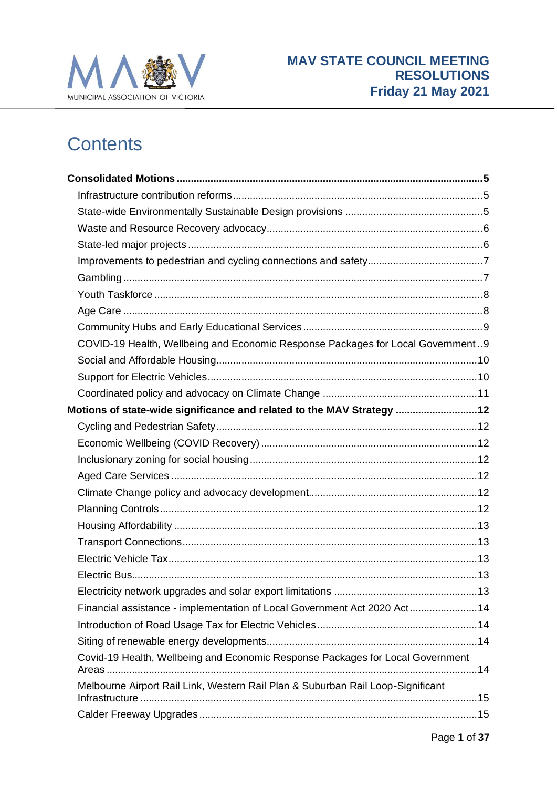

# **Contents**

| COVID-19 Health, Wellbeing and Economic Response Packages for Local Government9 |  |
|---------------------------------------------------------------------------------|--|
|                                                                                 |  |
|                                                                                 |  |
|                                                                                 |  |
| Motions of state-wide significance and related to the MAV Strategy 12           |  |
|                                                                                 |  |
|                                                                                 |  |
|                                                                                 |  |
|                                                                                 |  |
|                                                                                 |  |
|                                                                                 |  |
|                                                                                 |  |
|                                                                                 |  |
|                                                                                 |  |
|                                                                                 |  |
|                                                                                 |  |
| Financial assistance - implementation of Local Government Act 2020 Act14        |  |
|                                                                                 |  |
|                                                                                 |  |
| Covid-19 Health, Wellbeing and Economic Response Packages for Local Government  |  |
| Melbourne Airport Rail Link, Western Rail Plan & Suburban Rail Loop-Significant |  |
|                                                                                 |  |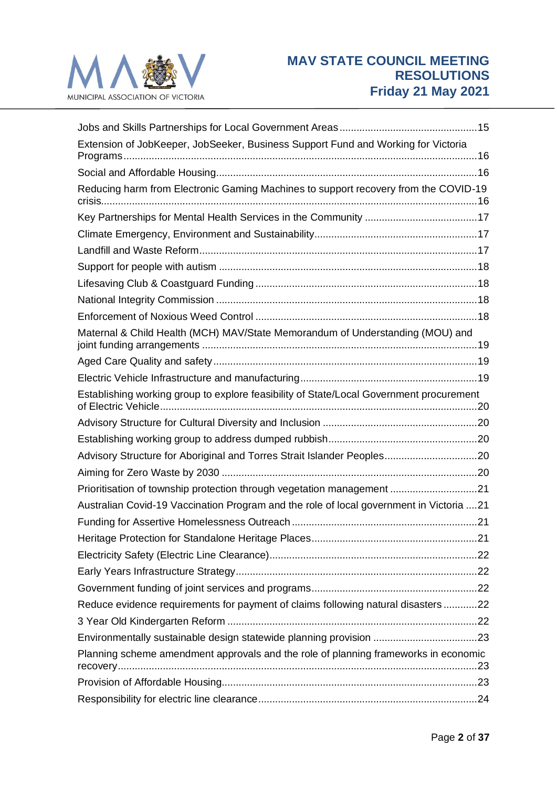

| Extension of JobKeeper, JobSeeker, Business Support Fund and Working for Victoria       |  |
|-----------------------------------------------------------------------------------------|--|
|                                                                                         |  |
| Reducing harm from Electronic Gaming Machines to support recovery from the COVID-19     |  |
|                                                                                         |  |
|                                                                                         |  |
|                                                                                         |  |
|                                                                                         |  |
|                                                                                         |  |
|                                                                                         |  |
|                                                                                         |  |
| Maternal & Child Health (MCH) MAV/State Memorandum of Understanding (MOU) and           |  |
|                                                                                         |  |
|                                                                                         |  |
| Establishing working group to explore feasibility of State/Local Government procurement |  |
|                                                                                         |  |
|                                                                                         |  |
| Advisory Structure for Aboriginal and Torres Strait Islander Peoples20                  |  |
|                                                                                         |  |
| Prioritisation of township protection through vegetation management 21                  |  |
| Australian Covid-19 Vaccination Program and the role of local government in Victoria 21 |  |
|                                                                                         |  |
|                                                                                         |  |
|                                                                                         |  |
|                                                                                         |  |
|                                                                                         |  |
| Reduce evidence requirements for payment of claims following natural disasters 22       |  |
|                                                                                         |  |
|                                                                                         |  |
| Planning scheme amendment approvals and the role of planning frameworks in economic     |  |
|                                                                                         |  |
|                                                                                         |  |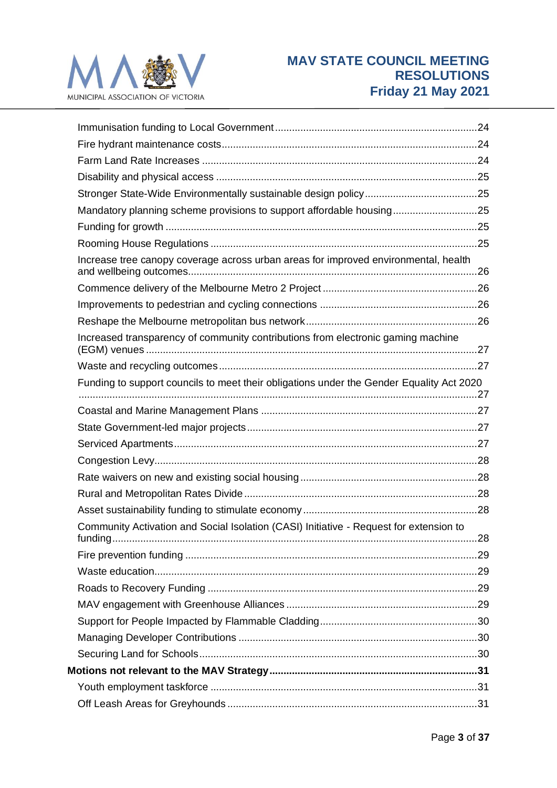

| Mandatory planning scheme provisions to support affordable housing25                     |  |
|------------------------------------------------------------------------------------------|--|
|                                                                                          |  |
|                                                                                          |  |
| Increase tree canopy coverage across urban areas for improved environmental, health      |  |
|                                                                                          |  |
|                                                                                          |  |
|                                                                                          |  |
| Increased transparency of community contributions from electronic gaming machine         |  |
|                                                                                          |  |
| Funding to support councils to meet their obligations under the Gender Equality Act 2020 |  |
|                                                                                          |  |
|                                                                                          |  |
|                                                                                          |  |
|                                                                                          |  |
|                                                                                          |  |
|                                                                                          |  |
|                                                                                          |  |
| Community Activation and Social Isolation (CASI) Initiative - Request for extension to   |  |
|                                                                                          |  |
|                                                                                          |  |
|                                                                                          |  |
|                                                                                          |  |
|                                                                                          |  |
|                                                                                          |  |
|                                                                                          |  |
|                                                                                          |  |
|                                                                                          |  |
|                                                                                          |  |
|                                                                                          |  |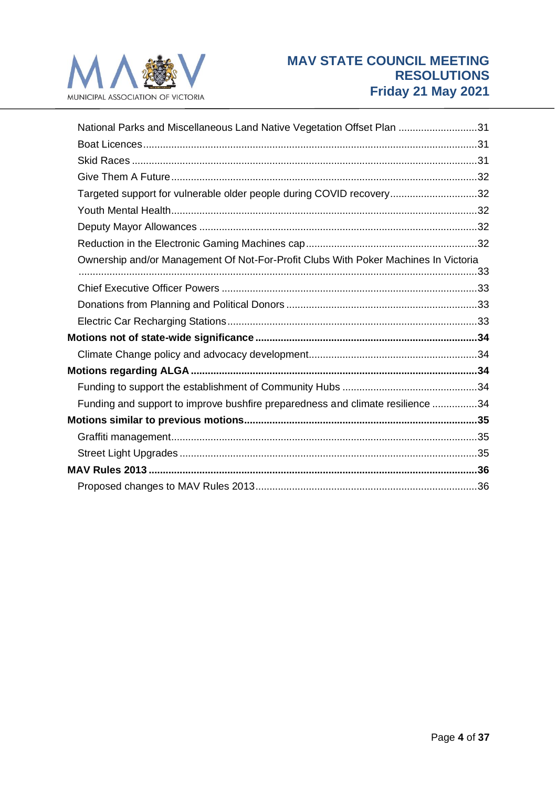

| National Parks and Miscellaneous Land Native Vegetation Offset Plan 31              |  |
|-------------------------------------------------------------------------------------|--|
|                                                                                     |  |
|                                                                                     |  |
|                                                                                     |  |
| Targeted support for vulnerable older people during COVID recovery32                |  |
|                                                                                     |  |
|                                                                                     |  |
|                                                                                     |  |
| Ownership and/or Management Of Not-For-Profit Clubs With Poker Machines In Victoria |  |
|                                                                                     |  |
|                                                                                     |  |
|                                                                                     |  |
|                                                                                     |  |
|                                                                                     |  |
|                                                                                     |  |
|                                                                                     |  |
| Funding and support to improve bushfire preparedness and climate resilience 34      |  |
|                                                                                     |  |
|                                                                                     |  |
|                                                                                     |  |
|                                                                                     |  |
|                                                                                     |  |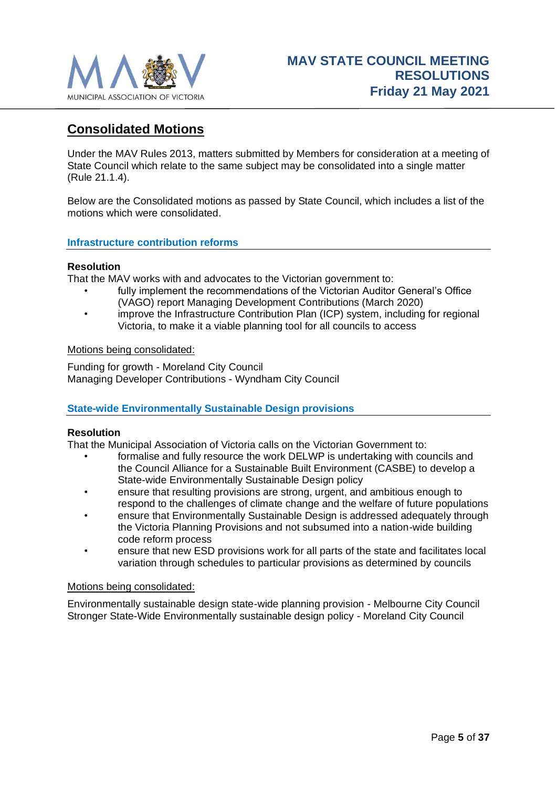

# <span id="page-4-0"></span>**Consolidated Motions**

Under the MAV Rules 2013, matters submitted by Members for consideration at a meeting of State Council which relate to the same subject may be consolidated into a single matter (Rule 21.1.4).

Below are the Consolidated motions as passed by State Council, which includes a list of the motions which were consolidated.

#### <span id="page-4-1"></span>**Infrastructure contribution reforms**

#### **Resolution**

That the MAV works with and advocates to the Victorian government to:

- fully implement the recommendations of the Victorian Auditor General's Office (VAGO) report Managing Development Contributions (March 2020)
- improve the Infrastructure Contribution Plan (ICP) system, including for regional Victoria, to make it a viable planning tool for all councils to access

#### Motions being consolidated:

Funding for growth - Moreland City Council Managing Developer Contributions - Wyndham City Council

# <span id="page-4-2"></span>**State-wide Environmentally Sustainable Design provisions**

#### **Resolution**

That the Municipal Association of Victoria calls on the Victorian Government to:

- formalise and fully resource the work DELWP is undertaking with councils and the Council Alliance for a Sustainable Built Environment (CASBE) to develop a State-wide Environmentally Sustainable Design policy
- ensure that resulting provisions are strong, urgent, and ambitious enough to respond to the challenges of climate change and the welfare of future populations
- ensure that Environmentally Sustainable Design is addressed adequately through the Victoria Planning Provisions and not subsumed into a nation-wide building code reform process
- ensure that new ESD provisions work for all parts of the state and facilitates local variation through schedules to particular provisions as determined by councils

#### Motions being consolidated:

Environmentally sustainable design state-wide planning provision - Melbourne City Council Stronger State-Wide Environmentally sustainable design policy - Moreland City Council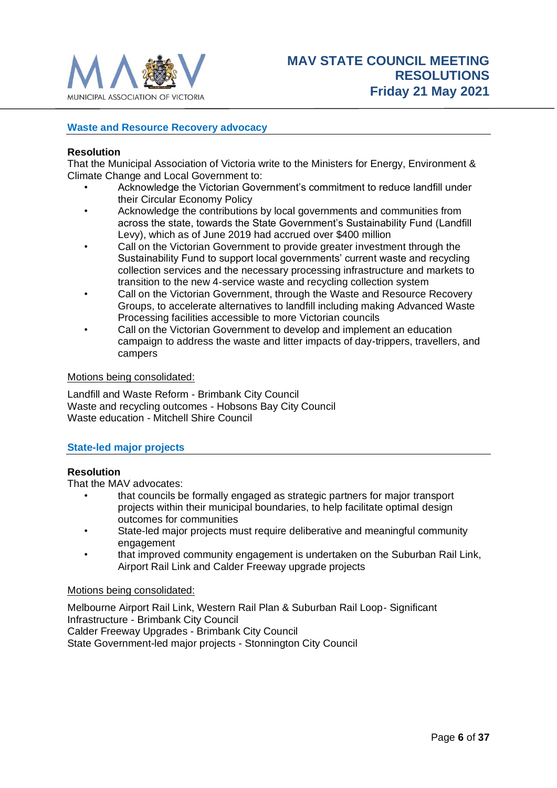

# <span id="page-5-0"></span>**Waste and Resource Recovery advocacy**

#### **Resolution**

That the Municipal Association of Victoria write to the Ministers for Energy, Environment & Climate Change and Local Government to:

- Acknowledge the Victorian Government's commitment to reduce landfill under their Circular Economy Policy
- Acknowledge the contributions by local governments and communities from across the state, towards the State Government's Sustainability Fund (Landfill Levy), which as of June 2019 had accrued over \$400 million
- Call on the Victorian Government to provide greater investment through the Sustainability Fund to support local governments' current waste and recycling collection services and the necessary processing infrastructure and markets to transition to the new 4-service waste and recycling collection system
- Call on the Victorian Government, through the Waste and Resource Recovery Groups, to accelerate alternatives to landfill including making Advanced Waste Processing facilities accessible to more Victorian councils
- Call on the Victorian Government to develop and implement an education campaign to address the waste and litter impacts of day-trippers, travellers, and campers

#### Motions being consolidated:

Landfill and Waste Reform - Brimbank City Council Waste and recycling outcomes - Hobsons Bay City Council Waste education - Mitchell Shire Council

#### <span id="page-5-1"></span>**State-led major projects**

#### **Resolution**

That the MAV advocates:

- that councils be formally engaged as strategic partners for major transport projects within their municipal boundaries, to help facilitate optimal design outcomes for communities
- State-led major projects must require deliberative and meaningful community engagement
- that improved community engagement is undertaken on the Suburban Rail Link, Airport Rail Link and Calder Freeway upgrade projects

#### Motions being consolidated:

Melbourne Airport Rail Link, Western Rail Plan & Suburban Rail Loop- Significant Infrastructure - Brimbank City Council Calder Freeway Upgrades - Brimbank City Council State Government-led major projects - Stonnington City Council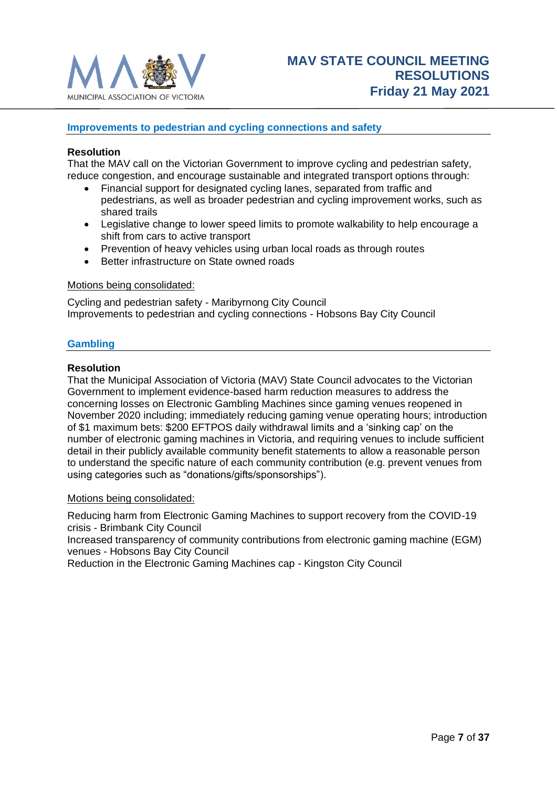

### <span id="page-6-0"></span>**Improvements to pedestrian and cycling connections and safety**

#### **Resolution**

That the MAV call on the Victorian Government to improve cycling and pedestrian safety, reduce congestion, and encourage sustainable and integrated transport options through:

- Financial support for designated cycling lanes, separated from traffic and pedestrians, as well as broader pedestrian and cycling improvement works, such as shared trails
- Legislative change to lower speed limits to promote walkability to help encourage a shift from cars to active transport
- Prevention of heavy vehicles using urban local roads as through routes
- Better infrastructure on State owned roads

#### Motions being consolidated:

Cycling and pedestrian safety - Maribyrnong City Council Improvements to pedestrian and cycling connections - Hobsons Bay City Council

#### <span id="page-6-1"></span>**Gambling**

#### **Resolution**

That the Municipal Association of Victoria (MAV) State Council advocates to the Victorian Government to implement evidence-based harm reduction measures to address the concerning losses on Electronic Gambling Machines since gaming venues reopened in November 2020 including; immediately reducing gaming venue operating hours; introduction of \$1 maximum bets: \$200 EFTPOS daily withdrawal limits and a 'sinking cap' on the number of electronic gaming machines in Victoria, and requiring venues to include sufficient detail in their publicly available community benefit statements to allow a reasonable person to understand the specific nature of each community contribution (e.g. prevent venues from using categories such as "donations/gifts/sponsorships").

#### Motions being consolidated:

Reducing harm from Electronic Gaming Machines to support recovery from the COVID-19 crisis - Brimbank City Council

Increased transparency of community contributions from electronic gaming machine (EGM) venues - Hobsons Bay City Council

Reduction in the Electronic Gaming Machines cap - Kingston City Council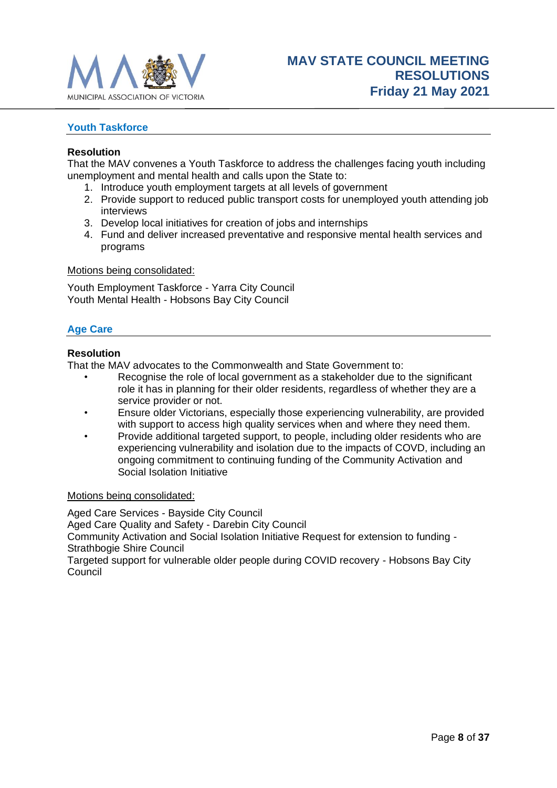

# <span id="page-7-0"></span>**Youth Taskforce**

#### **Resolution**

That the MAV convenes a Youth Taskforce to address the challenges facing youth including unemployment and mental health and calls upon the State to:

- 1. Introduce youth employment targets at all levels of government
- 2. Provide support to reduced public transport costs for unemployed youth attending job interviews
- 3. Develop local initiatives for creation of jobs and internships
- 4. Fund and deliver increased preventative and responsive mental health services and programs

Motions being consolidated:

Youth Employment Taskforce - Yarra City Council Youth Mental Health - Hobsons Bay City Council

# <span id="page-7-1"></span>**Age Care**

#### **Resolution**

That the MAV advocates to the Commonwealth and State Government to:

- Recognise the role of local government as a stakeholder due to the significant role it has in planning for their older residents, regardless of whether they are a service provider or not.
- Ensure older Victorians, especially those experiencing vulnerability, are provided with support to access high quality services when and where they need them.
- Provide additional targeted support, to people, including older residents who are experiencing vulnerability and isolation due to the impacts of COVD, including an ongoing commitment to continuing funding of the Community Activation and Social Isolation Initiative

# Motions being consolidated:

Aged Care Services - Bayside City Council Aged Care Quality and Safety - Darebin City Council Community Activation and Social Isolation Initiative Request for extension to funding - Strathbogie Shire Council Targeted support for vulnerable older people during COVID recovery - Hobsons Bay City Council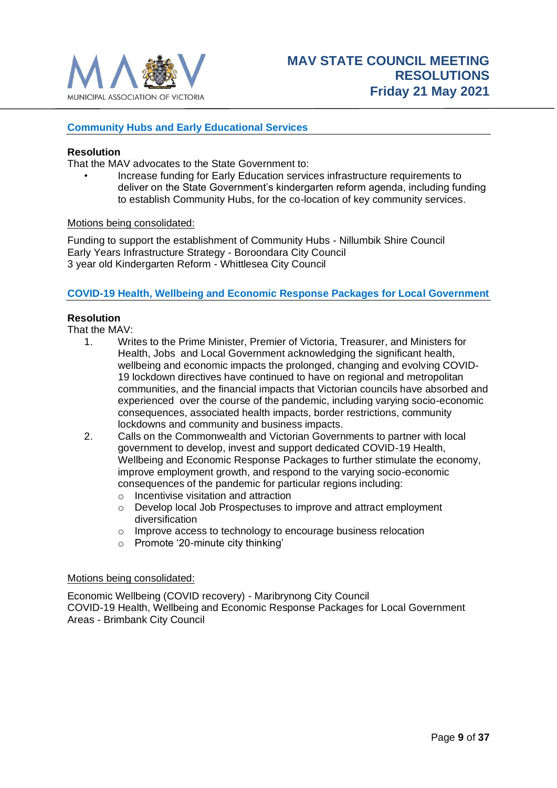

# <span id="page-8-0"></span>**Community Hubs and Early Educational Services**

#### **Resolution**

That the MAV advocates to the State Government to:

• Increase funding for Early Education services infrastructure requirements to deliver on the State Government's kindergarten reform agenda, including funding to establish Community Hubs, for the co-location of key community services.

#### Motions being consolidated:

Funding to support the establishment of Community Hubs - Nillumbik Shire Council Early Years Infrastructure Strategy - Boroondara City Council 3 year old Kindergarten Reform - Whittlesea City Council

#### <span id="page-8-1"></span>**COVID-19 Health, Wellbeing and Economic Response Packages for Local Government**

#### **Resolution**

That the MAV:

- 1. Writes to the Prime Minister, Premier of Victoria, Treasurer, and Ministers for Health, Jobs and Local Government acknowledging the significant health, wellbeing and economic impacts the prolonged, changing and evolving COVID-19 lockdown directives have continued to have on regional and metropolitan communities, and the financial impacts that Victorian councils have absorbed and experienced over the course of the pandemic, including varying socio-economic consequences, associated health impacts, border restrictions, community lockdowns and community and business impacts.
- 2. Calls on the Commonwealth and Victorian Governments to partner with local government to develop, invest and support dedicated COVID-19 Health, Wellbeing and Economic Response Packages to further stimulate the economy, improve employment growth, and respond to the varying socio-economic consequences of the pandemic for particular regions including:
	- o Incentivise visitation and attraction
	- o Develop local Job Prospectuses to improve and attract employment diversification
	- o Improve access to technology to encourage business relocation
	- o Promote '20-minute city thinking'

#### Motions being consolidated:

Economic Wellbeing (COVID recovery) - Maribrynong City Council COVID-19 Health, Wellbeing and Economic Response Packages for Local Government Areas - Brimbank City Council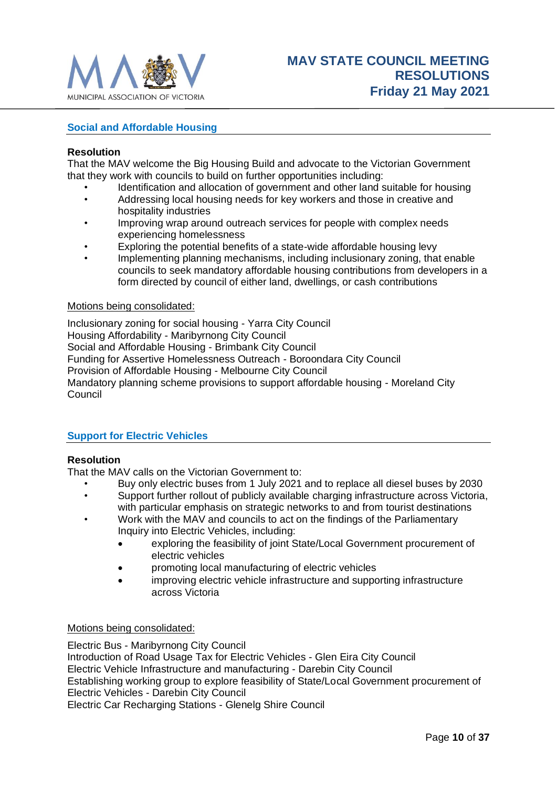

# <span id="page-9-0"></span>**Social and Affordable Housing**

#### **Resolution**

That the MAV welcome the Big Housing Build and advocate to the Victorian Government that they work with councils to build on further opportunities including:

- Identification and allocation of government and other land suitable for housing
- Addressing local housing needs for key workers and those in creative and hospitality industries
- Improving wrap around outreach services for people with complex needs experiencing homelessness
- Exploring the potential benefits of a state-wide affordable housing levy
- Implementing planning mechanisms, including inclusionary zoning, that enable councils to seek mandatory affordable housing contributions from developers in a form directed by council of either land, dwellings, or cash contributions

#### Motions being consolidated:

Inclusionary zoning for social housing - Yarra City Council Housing Affordability - Maribyrnong City Council Social and Affordable Housing - Brimbank City Council Funding for Assertive Homelessness Outreach - Boroondara City Council Provision of Affordable Housing - Melbourne City Council Mandatory planning scheme provisions to support affordable housing - Moreland City Council

# <span id="page-9-1"></span>**Support for Electric Vehicles**

#### **Resolution**

That the MAV calls on the Victorian Government to:

- Buy only electric buses from 1 July 2021 and to replace all diesel buses by 2030
- Support further rollout of publicly available charging infrastructure across Victoria, with particular emphasis on strategic networks to and from tourist destinations
- Work with the MAV and councils to act on the findings of the Parliamentary Inquiry into Electric Vehicles, including:
	- exploring the feasibility of joint State/Local Government procurement of electric vehicles
	- promoting local manufacturing of electric vehicles
	- improving electric vehicle infrastructure and supporting infrastructure across Victoria

#### Motions being consolidated:

Electric Bus - Maribyrnong City Council Introduction of Road Usage Tax for Electric Vehicles - Glen Eira City Council Electric Vehicle Infrastructure and manufacturing - Darebin City Council Establishing working group to explore feasibility of State/Local Government procurement of Electric Vehicles - Darebin City Council Electric Car Recharging Stations - Glenelg Shire Council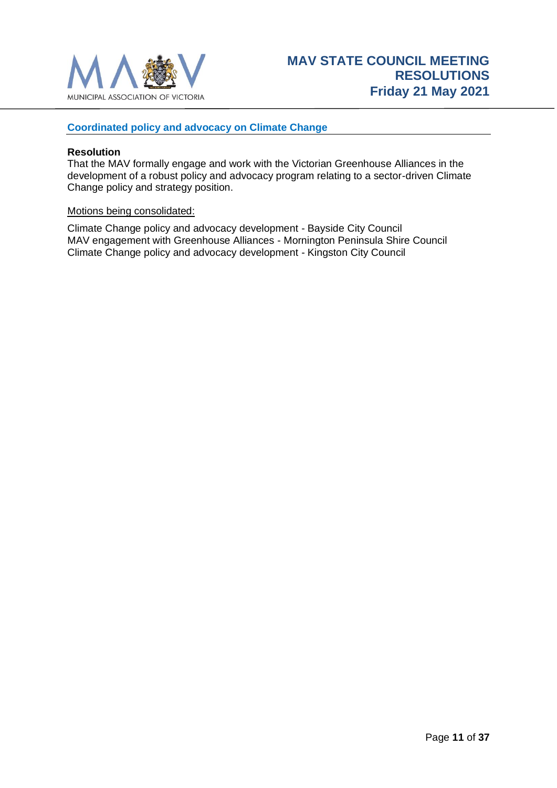

# <span id="page-10-0"></span>**Coordinated policy and advocacy on Climate Change**

#### **Resolution**

That the MAV formally engage and work with the Victorian Greenhouse Alliances in the development of a robust policy and advocacy program relating to a sector-driven Climate Change policy and strategy position.

#### Motions being consolidated:

Climate Change policy and advocacy development - Bayside City Council MAV engagement with Greenhouse Alliances - Mornington Peninsula Shire Council Climate Change policy and advocacy development - Kingston City Council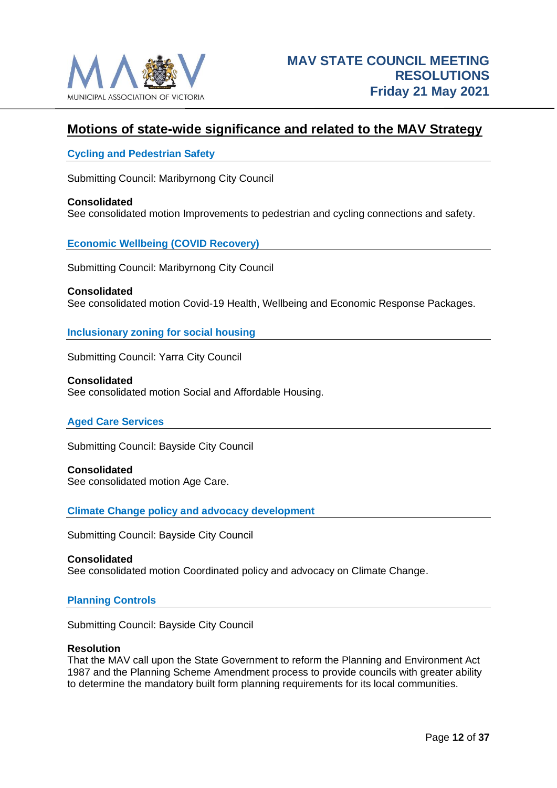

# <span id="page-11-0"></span>**Motions of state-wide significance and related to the MAV Strategy**

### <span id="page-11-1"></span>**Cycling and Pedestrian Safety**

Submitting Council: Maribyrnong City Council

#### **Consolidated**

See consolidated motion Improvements to pedestrian and cycling connections and safety.

#### <span id="page-11-2"></span>**Economic Wellbeing (COVID Recovery)**

Submitting Council: Maribyrnong City Council

**Consolidated** See consolidated motion Covid-19 Health, Wellbeing and Economic Response Packages.

#### <span id="page-11-3"></span>**Inclusionary zoning for social housing**

Submitting Council: Yarra City Council

**Consolidated** See consolidated motion Social and Affordable Housing.

# <span id="page-11-4"></span>**Aged Care Services**

Submitting Council: Bayside City Council

**Consolidated** See consolidated motion Age Care.

<span id="page-11-5"></span>**Climate Change policy and advocacy development**

Submitting Council: Bayside City Council

#### **Consolidated**

See consolidated motion Coordinated policy and advocacy on Climate Change.

#### <span id="page-11-6"></span>**Planning Controls**

Submitting Council: Bayside City Council

#### **Resolution**

That the MAV call upon the State Government to reform the Planning and Environment Act 1987 and the Planning Scheme Amendment process to provide councils with greater ability to determine the mandatory built form planning requirements for its local communities.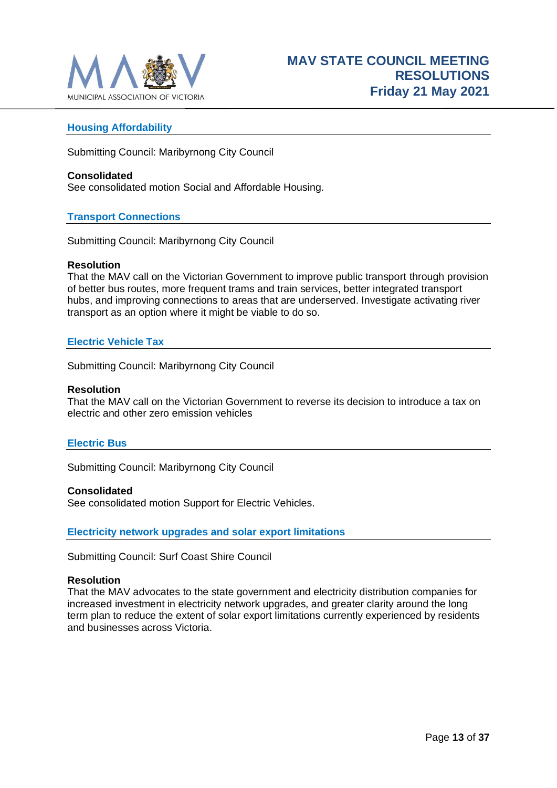

# <span id="page-12-0"></span>**Housing Affordability**

Submitting Council: Maribyrnong City Council

#### **Consolidated**

See consolidated motion Social and Affordable Housing.

# <span id="page-12-1"></span>**Transport Connections**

Submitting Council: Maribyrnong City Council

#### **Resolution**

That the MAV call on the Victorian Government to improve public transport through provision of better bus routes, more frequent trams and train services, better integrated transport hubs, and improving connections to areas that are underserved. Investigate activating river transport as an option where it might be viable to do so.

# <span id="page-12-2"></span>**Electric Vehicle Tax**

Submitting Council: Maribyrnong City Council

#### **Resolution**

That the MAV call on the Victorian Government to reverse its decision to introduce a tax on electric and other zero emission vehicles

# <span id="page-12-3"></span>**Electric Bus**

Submitting Council: Maribyrnong City Council

#### **Consolidated**

See consolidated motion Support for Electric Vehicles.

<span id="page-12-4"></span>**Electricity network upgrades and solar export limitations**

Submitting Council: Surf Coast Shire Council

#### **Resolution**

That the MAV advocates to the state government and electricity distribution companies for increased investment in electricity network upgrades, and greater clarity around the long term plan to reduce the extent of solar export limitations currently experienced by residents and businesses across Victoria.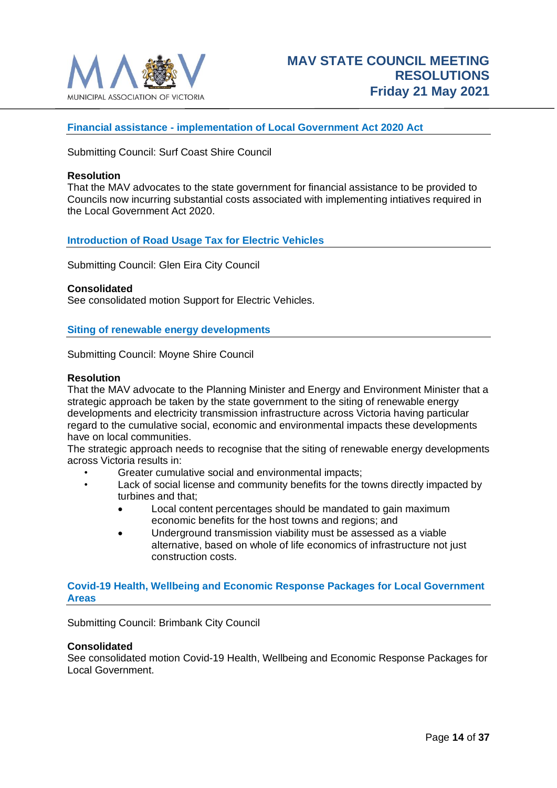

### <span id="page-13-0"></span>**Financial assistance - implementation of Local Government Act 2020 Act**

Submitting Council: Surf Coast Shire Council

#### **Resolution**

That the MAV advocates to the state government for financial assistance to be provided to Councils now incurring substantial costs associated with implementing intiatives required in the Local Government Act 2020.

#### <span id="page-13-1"></span>**Introduction of Road Usage Tax for Electric Vehicles**

Submitting Council: Glen Eira City Council

#### **Consolidated**

See consolidated motion Support for Electric Vehicles.

#### <span id="page-13-2"></span>**Siting of renewable energy developments**

Submitting Council: Moyne Shire Council

#### **Resolution**

That the MAV advocate to the Planning Minister and Energy and Environment Minister that a strategic approach be taken by the state government to the siting of renewable energy developments and electricity transmission infrastructure across Victoria having particular regard to the cumulative social, economic and environmental impacts these developments have on local communities.

The strategic approach needs to recognise that the siting of renewable energy developments across Victoria results in:

- Greater cumulative social and environmental impacts;
- Lack of social license and community benefits for the towns directly impacted by turbines and that;
	- Local content percentages should be mandated to gain maximum economic benefits for the host towns and regions; and
	- Underground transmission viability must be assessed as a viable alternative, based on whole of life economics of infrastructure not just construction costs.

#### <span id="page-13-3"></span>**Covid-19 Health, Wellbeing and Economic Response Packages for Local Government Areas**

Submitting Council: Brimbank City Council

#### **Consolidated**

See consolidated motion Covid-19 Health, Wellbeing and Economic Response Packages for Local Government.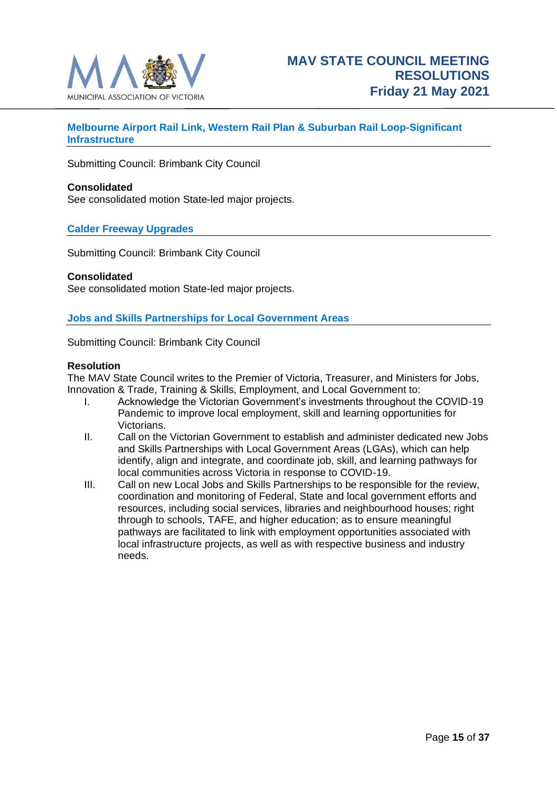

# <span id="page-14-0"></span>**Melbourne Airport Rail Link, Western Rail Plan & Suburban Rail Loop-Significant Infrastructure**

Submitting Council: Brimbank City Council

#### **Consolidated**

See consolidated motion State-led major projects.

# <span id="page-14-1"></span>**Calder Freeway Upgrades**

Submitting Council: Brimbank City Council

#### **Consolidated**

See consolidated motion State-led major projects.

#### <span id="page-14-2"></span>**Jobs and Skills Partnerships for Local Government Areas**

Submitting Council: Brimbank City Council

#### **Resolution**

The MAV State Council writes to the Premier of Victoria, Treasurer, and Ministers for Jobs, Innovation & Trade, Training & Skills, Employment, and Local Government to:

- I. Acknowledge the Victorian Government's investments throughout the COVID-19 Pandemic to improve local employment, skill and learning opportunities for Victorians.
- II. Call on the Victorian Government to establish and administer dedicated new Jobs and Skills Partnerships with Local Government Areas (LGAs), which can help identify, align and integrate, and coordinate job, skill, and learning pathways for local communities across Victoria in response to COVID-19.
- III. Call on new Local Jobs and Skills Partnerships to be responsible for the review, coordination and monitoring of Federal, State and local government efforts and resources, including social services, libraries and neighbourhood houses; right through to schools, TAFE, and higher education; as to ensure meaningful pathways are facilitated to link with employment opportunities associated with local infrastructure projects, as well as with respective business and industry needs.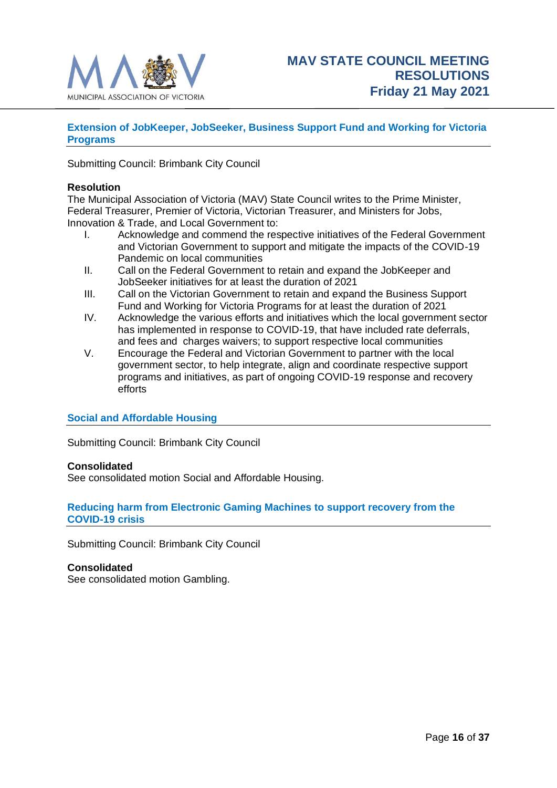

# <span id="page-15-0"></span>**Extension of JobKeeper, JobSeeker, Business Support Fund and Working for Victoria Programs**

Submitting Council: Brimbank City Council

#### **Resolution**

The Municipal Association of Victoria (MAV) State Council writes to the Prime Minister, Federal Treasurer, Premier of Victoria, Victorian Treasurer, and Ministers for Jobs, Innovation & Trade, and Local Government to:

- I. Acknowledge and commend the respective initiatives of the Federal Government and Victorian Government to support and mitigate the impacts of the COVID-19 Pandemic on local communities
- II. Call on the Federal Government to retain and expand the JobKeeper and JobSeeker initiatives for at least the duration of 2021
- III. Call on the Victorian Government to retain and expand the Business Support Fund and Working for Victoria Programs for at least the duration of 2021
- IV. Acknowledge the various efforts and initiatives which the local government sector has implemented in response to COVID-19, that have included rate deferrals, and fees and charges waivers; to support respective local communities
- V. Encourage the Federal and Victorian Government to partner with the local government sector, to help integrate, align and coordinate respective support programs and initiatives, as part of ongoing COVID-19 response and recovery efforts

#### <span id="page-15-1"></span>**Social and Affordable Housing**

Submitting Council: Brimbank City Council

#### **Consolidated**

See consolidated motion Social and Affordable Housing.

# <span id="page-15-2"></span>**Reducing harm from Electronic Gaming Machines to support recovery from the COVID-19 crisis**

Submitting Council: Brimbank City Council

# **Consolidated**

See consolidated motion Gambling.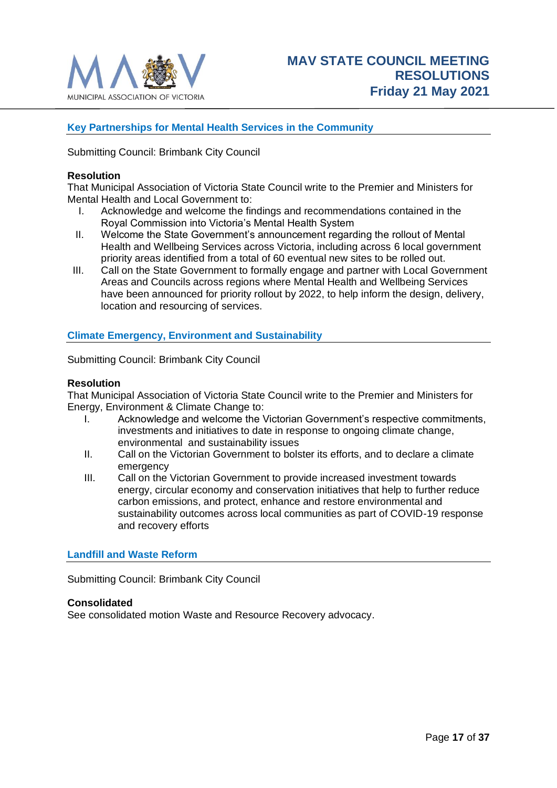

# <span id="page-16-0"></span>**Key Partnerships for Mental Health Services in the Community**

Submitting Council: Brimbank City Council

#### **Resolution**

That Municipal Association of Victoria State Council write to the Premier and Ministers for Mental Health and Local Government to:

- I. Acknowledge and welcome the findings and recommendations contained in the Royal Commission into Victoria's Mental Health System
- II. Welcome the State Government's announcement regarding the rollout of Mental Health and Wellbeing Services across Victoria, including across 6 local government priority areas identified from a total of 60 eventual new sites to be rolled out.
- III. Call on the State Government to formally engage and partner with Local Government Areas and Councils across regions where Mental Health and Wellbeing Services have been announced for priority rollout by 2022, to help inform the design, delivery, location and resourcing of services.

#### <span id="page-16-1"></span>**Climate Emergency, Environment and Sustainability**

Submitting Council: Brimbank City Council

#### **Resolution**

That Municipal Association of Victoria State Council write to the Premier and Ministers for Energy, Environment & Climate Change to:

- I. Acknowledge and welcome the Victorian Government's respective commitments, investments and initiatives to date in response to ongoing climate change, environmental and sustainability issues
- II. Call on the Victorian Government to bolster its efforts, and to declare a climate emergency
- III. Call on the Victorian Government to provide increased investment towards energy, circular economy and conservation initiatives that help to further reduce carbon emissions, and protect, enhance and restore environmental and sustainability outcomes across local communities as part of COVID-19 response and recovery efforts

#### <span id="page-16-2"></span>**Landfill and Waste Reform**

Submitting Council: Brimbank City Council

#### **Consolidated**

See consolidated motion Waste and Resource Recovery advocacy.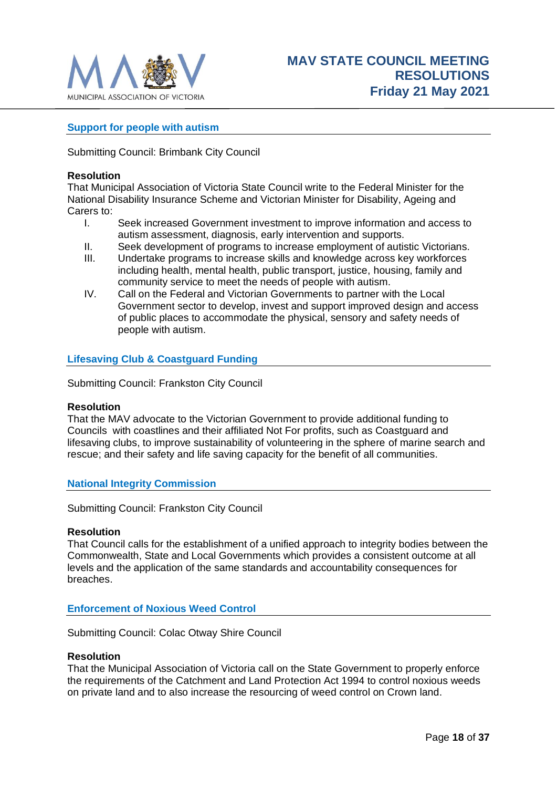

# <span id="page-17-0"></span>**Support for people with autism**

Submitting Council: Brimbank City Council

#### **Resolution**

That Municipal Association of Victoria State Council write to the Federal Minister for the National Disability Insurance Scheme and Victorian Minister for Disability, Ageing and Carers to:

- I. Seek increased Government investment to improve information and access to autism assessment, diagnosis, early intervention and supports.
- II. Seek development of programs to increase employment of autistic Victorians.
- III. Undertake programs to increase skills and knowledge across key workforces including health, mental health, public transport, justice, housing, family and community service to meet the needs of people with autism.
- IV. Call on the Federal and Victorian Governments to partner with the Local Government sector to develop, invest and support improved design and access of public places to accommodate the physical, sensory and safety needs of people with autism.

# <span id="page-17-1"></span>**Lifesaving Club & Coastguard Funding**

Submitting Council: Frankston City Council

#### **Resolution**

That the MAV advocate to the Victorian Government to provide additional funding to Councils with coastlines and their affiliated Not For profits, such as Coastguard and lifesaving clubs, to improve sustainability of volunteering in the sphere of marine search and rescue; and their safety and life saving capacity for the benefit of all communities.

#### <span id="page-17-2"></span>**National Integrity Commission**

Submitting Council: Frankston City Council

#### **Resolution**

That Council calls for the establishment of a unified approach to integrity bodies between the Commonwealth, State and Local Governments which provides a consistent outcome at all levels and the application of the same standards and accountability consequences for breaches.

# <span id="page-17-3"></span>**Enforcement of Noxious Weed Control**

Submitting Council: Colac Otway Shire Council

#### **Resolution**

That the Municipal Association of Victoria call on the State Government to properly enforce the requirements of the Catchment and Land Protection Act 1994 to control noxious weeds on private land and to also increase the resourcing of weed control on Crown land.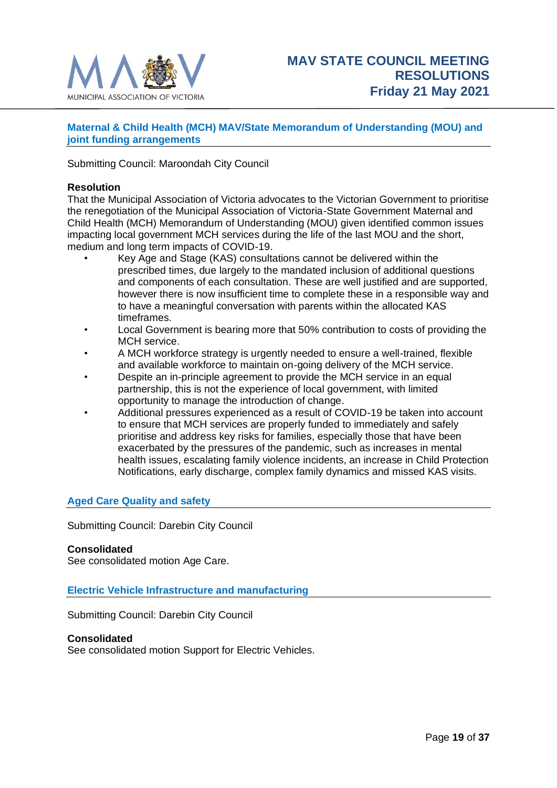

# <span id="page-18-0"></span>**Maternal & Child Health (MCH) MAV/State Memorandum of Understanding (MOU) and joint funding arrangements**

Submitting Council: Maroondah City Council

#### **Resolution**

That the Municipal Association of Victoria advocates to the Victorian Government to prioritise the renegotiation of the Municipal Association of Victoria-State Government Maternal and Child Health (MCH) Memorandum of Understanding (MOU) given identified common issues impacting local government MCH services during the life of the last MOU and the short, medium and long term impacts of COVID-19.

- Key Age and Stage (KAS) consultations cannot be delivered within the prescribed times, due largely to the mandated inclusion of additional questions and components of each consultation. These are well justified and are supported, however there is now insufficient time to complete these in a responsible way and to have a meaningful conversation with parents within the allocated KAS timeframes.
- Local Government is bearing more that 50% contribution to costs of providing the MCH service.
- A MCH workforce strategy is urgently needed to ensure a well-trained, flexible and available workforce to maintain on-going delivery of the MCH service.
- Despite an in-principle agreement to provide the MCH service in an equal partnership, this is not the experience of local government, with limited opportunity to manage the introduction of change.
- Additional pressures experienced as a result of COVID-19 be taken into account to ensure that MCH services are properly funded to immediately and safely prioritise and address key risks for families, especially those that have been exacerbated by the pressures of the pandemic, such as increases in mental health issues, escalating family violence incidents, an increase in Child Protection Notifications, early discharge, complex family dynamics and missed KAS visits.

# <span id="page-18-1"></span>**Aged Care Quality and safety**

Submitting Council: Darebin City Council

#### **Consolidated**

See consolidated motion Age Care.

<span id="page-18-2"></span>**Electric Vehicle Infrastructure and manufacturing**

Submitting Council: Darebin City Council

#### **Consolidated**

See consolidated motion Support for Electric Vehicles.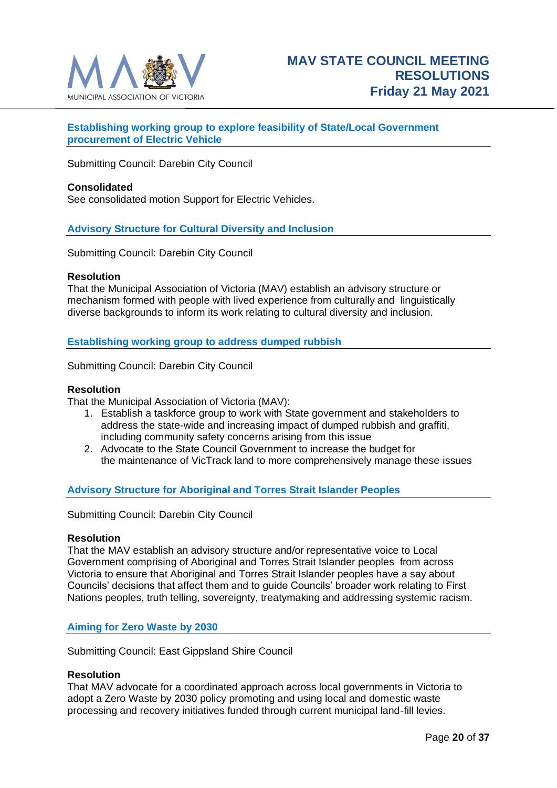

# <span id="page-19-0"></span>**Establishing working group to explore feasibility of State/Local Government procurement of Electric Vehicle**

Submitting Council: Darebin City Council

#### **Consolidated**

See consolidated motion Support for Electric Vehicles.

#### <span id="page-19-1"></span>**Advisory Structure for Cultural Diversity and Inclusion**

Submitting Council: Darebin City Council

#### **Resolution**

That the Municipal Association of Victoria (MAV) establish an advisory structure or mechanism formed with people with lived experience from culturally and linguistically diverse backgrounds to inform its work relating to cultural diversity and inclusion.

<span id="page-19-2"></span>**Establishing working group to address dumped rubbish**

Submitting Council: Darebin City Council

#### **Resolution**

That the Municipal Association of Victoria (MAV):

- 1. Establish a taskforce group to work with State government and stakeholders to address the state-wide and increasing impact of dumped rubbish and graffiti, including community safety concerns arising from this issue
- 2. Advocate to the State Council Government to increase the budget for the maintenance of VicTrack land to more comprehensively manage these issues

#### <span id="page-19-3"></span>**Advisory Structure for Aboriginal and Torres Strait Islander Peoples**

Submitting Council: Darebin City Council

#### **Resolution**

That the MAV establish an advisory structure and/or representative voice to Local Government comprising of Aboriginal and Torres Strait Islander peoples from across Victoria to ensure that Aboriginal and Torres Strait Islander peoples have a say about Councils' decisions that affect them and to guide Councils' broader work relating to First Nations peoples, truth telling, sovereignty, treatymaking and addressing systemic racism.

#### <span id="page-19-4"></span>**Aiming for Zero Waste by 2030**

Submitting Council: East Gippsland Shire Council

#### **Resolution**

That MAV advocate for a coordinated approach across local governments in Victoria to adopt a Zero Waste by 2030 policy promoting and using local and domestic waste processing and recovery initiatives funded through current municipal land-fill levies.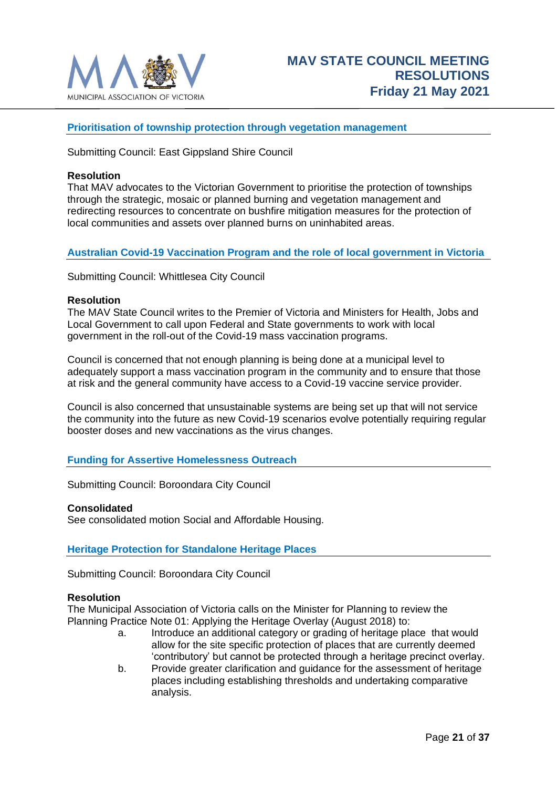

# <span id="page-20-0"></span>**Prioritisation of township protection through vegetation management**

Submitting Council: East Gippsland Shire Council

#### **Resolution**

That MAV advocates to the Victorian Government to prioritise the protection of townships through the strategic, mosaic or planned burning and vegetation management and redirecting resources to concentrate on bushfire mitigation measures for the protection of local communities and assets over planned burns on uninhabited areas.

# <span id="page-20-1"></span>**Australian Covid-19 Vaccination Program and the role of local government in Victoria**

Submitting Council: Whittlesea City Council

#### **Resolution**

The MAV State Council writes to the Premier of Victoria and Ministers for Health, Jobs and Local Government to call upon Federal and State governments to work with local government in the roll-out of the Covid-19 mass vaccination programs.

Council is concerned that not enough planning is being done at a municipal level to adequately support a mass vaccination program in the community and to ensure that those at risk and the general community have access to a Covid-19 vaccine service provider.

Council is also concerned that unsustainable systems are being set up that will not service the community into the future as new Covid-19 scenarios evolve potentially requiring regular booster doses and new vaccinations as the virus changes.

#### <span id="page-20-2"></span>**Funding for Assertive Homelessness Outreach**

Submitting Council: Boroondara City Council

#### **Consolidated**

See consolidated motion Social and Affordable Housing.

#### <span id="page-20-3"></span>**Heritage Protection for Standalone Heritage Places**

Submitting Council: Boroondara City Council

#### **Resolution**

The Municipal Association of Victoria calls on the Minister for Planning to review the Planning Practice Note 01: Applying the Heritage Overlay (August 2018) to:

- a. Introduce an additional category or grading of heritage place that would allow for the site specific protection of places that are currently deemed 'contributory' but cannot be protected through a heritage precinct overlay.
- b. Provide greater clarification and guidance for the assessment of heritage places including establishing thresholds and undertaking comparative analysis.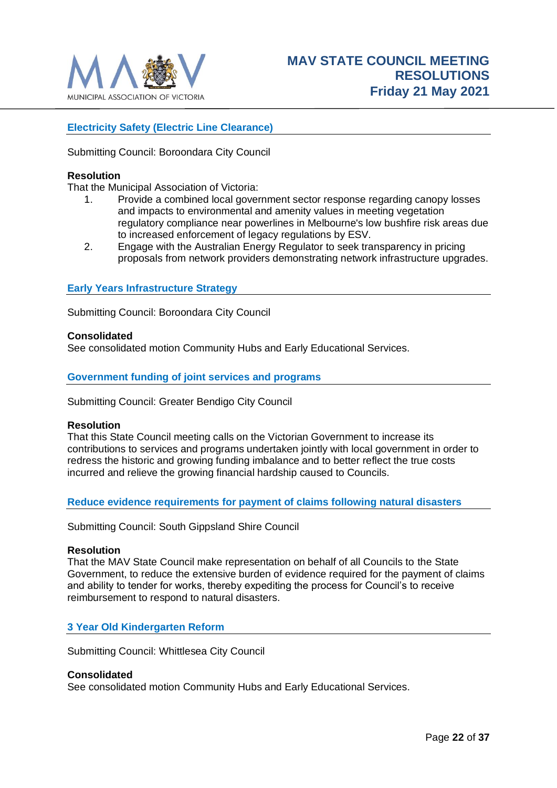

# <span id="page-21-0"></span>**Electricity Safety (Electric Line Clearance)**

Submitting Council: Boroondara City Council

#### **Resolution**

That the Municipal Association of Victoria:

- 1. Provide a combined local government sector response regarding canopy losses and impacts to environmental and amenity values in meeting vegetation regulatory compliance near powerlines in Melbourne's low bushfire risk areas due to increased enforcement of legacy regulations by ESV.
- 2. Engage with the Australian Energy Regulator to seek transparency in pricing proposals from network providers demonstrating network infrastructure upgrades.

#### <span id="page-21-1"></span>**Early Years Infrastructure Strategy**

Submitting Council: Boroondara City Council

#### **Consolidated**

See consolidated motion Community Hubs and Early Educational Services.

#### <span id="page-21-2"></span>**Government funding of joint services and programs**

Submitting Council: Greater Bendigo City Council

#### **Resolution**

That this State Council meeting calls on the Victorian Government to increase its contributions to services and programs undertaken jointly with local government in order to redress the historic and growing funding imbalance and to better reflect the true costs incurred and relieve the growing financial hardship caused to Councils.

<span id="page-21-3"></span>**Reduce evidence requirements for payment of claims following natural disasters**

Submitting Council: South Gippsland Shire Council

#### **Resolution**

That the MAV State Council make representation on behalf of all Councils to the State Government, to reduce the extensive burden of evidence required for the payment of claims and ability to tender for works, thereby expediting the process for Council's to receive reimbursement to respond to natural disasters.

#### <span id="page-21-4"></span>**3 Year Old Kindergarten Reform**

Submitting Council: Whittlesea City Council

#### **Consolidated**

See consolidated motion Community Hubs and Early Educational Services.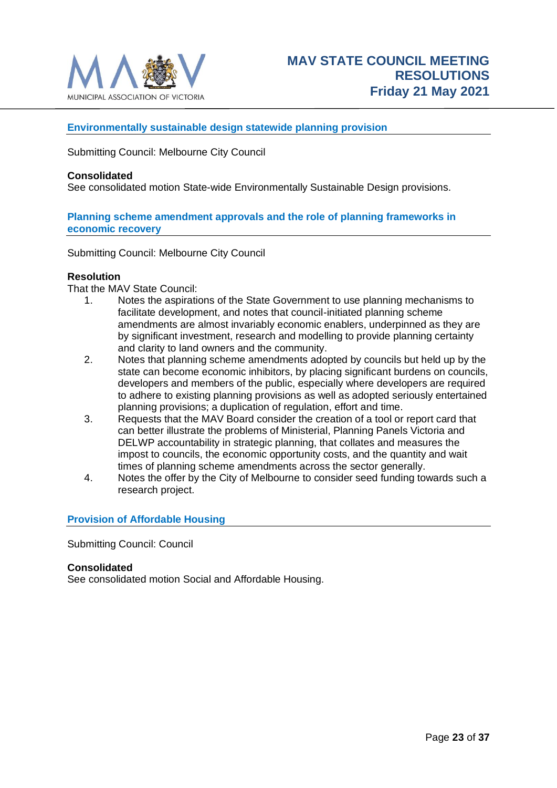

# <span id="page-22-0"></span>**Environmentally sustainable design statewide planning provision**

Submitting Council: Melbourne City Council

#### **Consolidated**

See consolidated motion State-wide Environmentally Sustainable Design provisions.

#### <span id="page-22-1"></span>**Planning scheme amendment approvals and the role of planning frameworks in economic recovery**

Submitting Council: Melbourne City Council

#### **Resolution**

That the MAV State Council:

- 1. Notes the aspirations of the State Government to use planning mechanisms to facilitate development, and notes that council-initiated planning scheme amendments are almost invariably economic enablers, underpinned as they are by significant investment, research and modelling to provide planning certainty and clarity to land owners and the community.
- 2. Notes that planning scheme amendments adopted by councils but held up by the state can become economic inhibitors, by placing significant burdens on councils, developers and members of the public, especially where developers are required to adhere to existing planning provisions as well as adopted seriously entertained planning provisions; a duplication of regulation, effort and time.
- 3. Requests that the MAV Board consider the creation of a tool or report card that can better illustrate the problems of Ministerial, Planning Panels Victoria and DELWP accountability in strategic planning, that collates and measures the impost to councils, the economic opportunity costs, and the quantity and wait times of planning scheme amendments across the sector generally.
- 4. Notes the offer by the City of Melbourne to consider seed funding towards such a research project.

# <span id="page-22-2"></span>**Provision of Affordable Housing**

Submitting Council: Council

#### **Consolidated**

See consolidated motion Social and Affordable Housing.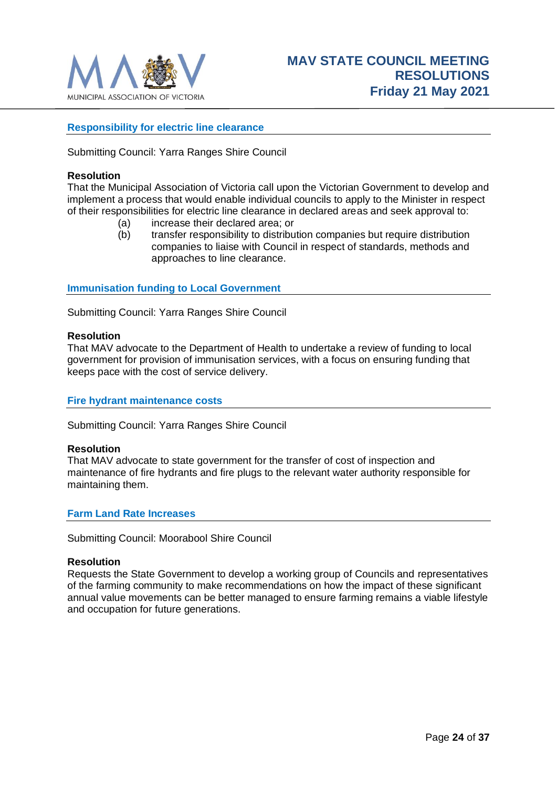

# <span id="page-23-0"></span>**Responsibility for electric line clearance**

Submitting Council: Yarra Ranges Shire Council

#### **Resolution**

That the Municipal Association of Victoria call upon the Victorian Government to develop and implement a process that would enable individual councils to apply to the Minister in respect of their responsibilities for electric line clearance in declared areas and seek approval to:

- (a) increase their declared area; or
- (b) transfer responsibility to distribution companies but require distribution companies to liaise with Council in respect of standards, methods and approaches to line clearance.

<span id="page-23-1"></span>**Immunisation funding to Local Government**

Submitting Council: Yarra Ranges Shire Council

#### **Resolution**

That MAV advocate to the Department of Health to undertake a review of funding to local government for provision of immunisation services, with a focus on ensuring funding that keeps pace with the cost of service delivery.

#### <span id="page-23-2"></span>**Fire hydrant maintenance costs**

Submitting Council: Yarra Ranges Shire Council

#### **Resolution**

That MAV advocate to state government for the transfer of cost of inspection and maintenance of fire hydrants and fire plugs to the relevant water authority responsible for maintaining them.

#### <span id="page-23-3"></span>**Farm Land Rate Increases**

Submitting Council: Moorabool Shire Council

#### **Resolution**

Requests the State Government to develop a working group of Councils and representatives of the farming community to make recommendations on how the impact of these significant annual value movements can be better managed to ensure farming remains a viable lifestyle and occupation for future generations.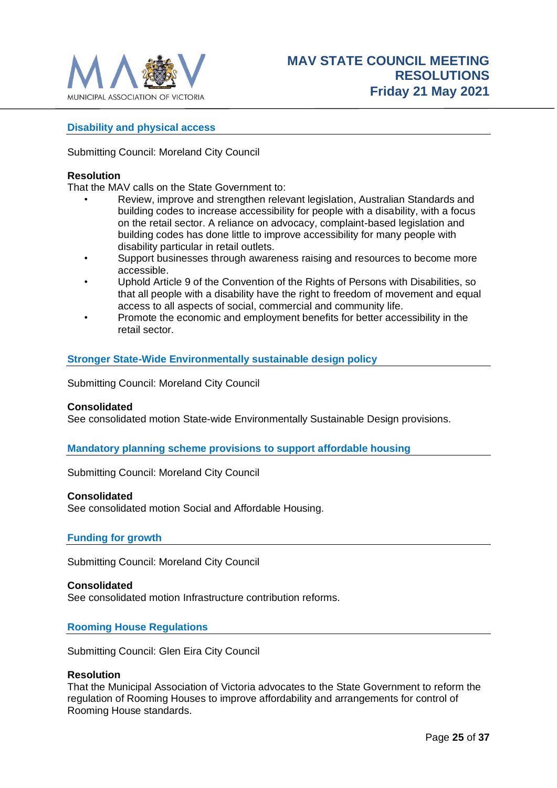

# <span id="page-24-0"></span>**Disability and physical access**

Submitting Council: Moreland City Council

#### **Resolution**

That the MAV calls on the State Government to:

- Review, improve and strengthen relevant legislation, Australian Standards and building codes to increase accessibility for people with a disability, with a focus on the retail sector. A reliance on advocacy, complaint-based legislation and building codes has done little to improve accessibility for many people with disability particular in retail outlets.
- Support businesses through awareness raising and resources to become more accessible.
- Uphold Article 9 of the Convention of the Rights of Persons with Disabilities, so that all people with a disability have the right to freedom of movement and equal access to all aspects of social, commercial and community life.
- Promote the economic and employment benefits for better accessibility in the retail sector.

#### <span id="page-24-1"></span>**Stronger State-Wide Environmentally sustainable design policy**

Submitting Council: Moreland City Council

#### **Consolidated**

See consolidated motion State-wide Environmentally Sustainable Design provisions.

#### <span id="page-24-2"></span>**Mandatory planning scheme provisions to support affordable housing**

Submitting Council: Moreland City Council

#### **Consolidated**

See consolidated motion Social and Affordable Housing.

#### <span id="page-24-3"></span>**Funding for growth**

Submitting Council: Moreland City Council

#### **Consolidated**

See consolidated motion Infrastructure contribution reforms.

#### <span id="page-24-4"></span>**Rooming House Regulations**

Submitting Council: Glen Eira City Council

#### **Resolution**

That the Municipal Association of Victoria advocates to the State Government to reform the regulation of Rooming Houses to improve affordability and arrangements for control of Rooming House standards.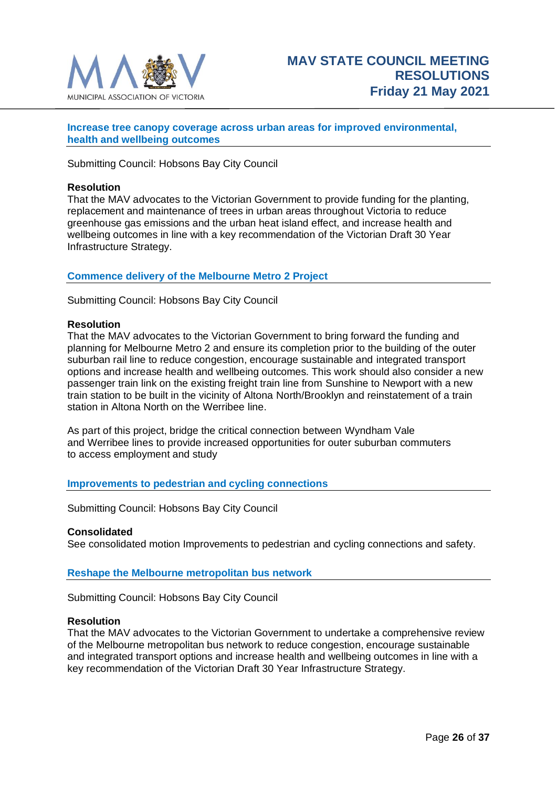

### <span id="page-25-0"></span>**Increase tree canopy coverage across urban areas for improved environmental, health and wellbeing outcomes**

Submitting Council: Hobsons Bay City Council

#### **Resolution**

That the MAV advocates to the Victorian Government to provide funding for the planting, replacement and maintenance of trees in urban areas throughout Victoria to reduce greenhouse gas emissions and the urban heat island effect, and increase health and wellbeing outcomes in line with a key recommendation of the Victorian Draft 30 Year Infrastructure Strategy.

#### <span id="page-25-1"></span>**Commence delivery of the Melbourne Metro 2 Project**

Submitting Council: Hobsons Bay City Council

#### **Resolution**

That the MAV advocates to the Victorian Government to bring forward the funding and planning for Melbourne Metro 2 and ensure its completion prior to the building of the outer suburban rail line to reduce congestion, encourage sustainable and integrated transport options and increase health and wellbeing outcomes. This work should also consider a new passenger train link on the existing freight train line from Sunshine to Newport with a new train station to be built in the vicinity of Altona North/Brooklyn and reinstatement of a train station in Altona North on the Werribee line.

As part of this project, bridge the critical connection between Wyndham Vale and Werribee lines to provide increased opportunities for outer suburban commuters to access employment and study

#### <span id="page-25-2"></span>**Improvements to pedestrian and cycling connections**

Submitting Council: Hobsons Bay City Council

# **Consolidated**

See consolidated motion Improvements to pedestrian and cycling connections and safety.

#### <span id="page-25-3"></span>**Reshape the Melbourne metropolitan bus network**

Submitting Council: Hobsons Bay City Council

#### **Resolution**

That the MAV advocates to the Victorian Government to undertake a comprehensive review of the Melbourne metropolitan bus network to reduce congestion, encourage sustainable and integrated transport options and increase health and wellbeing outcomes in line with a key recommendation of the Victorian Draft 30 Year Infrastructure Strategy.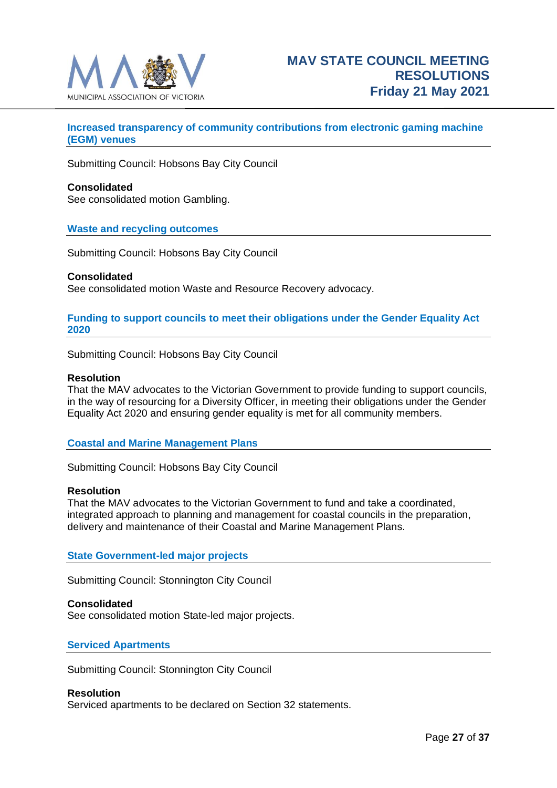

# <span id="page-26-0"></span>**Increased transparency of community contributions from electronic gaming machine (EGM) venues**

Submitting Council: Hobsons Bay City Council

#### **Consolidated**

See consolidated motion Gambling.

#### <span id="page-26-1"></span>**Waste and recycling outcomes**

Submitting Council: Hobsons Bay City Council

#### **Consolidated**

See consolidated motion Waste and Resource Recovery advocacy.

#### <span id="page-26-2"></span>**Funding to support councils to meet their obligations under the Gender Equality Act 2020**

Submitting Council: Hobsons Bay City Council

#### **Resolution**

That the MAV advocates to the Victorian Government to provide funding to support councils, in the way of resourcing for a Diversity Officer, in meeting their obligations under the Gender Equality Act 2020 and ensuring gender equality is met for all community members.

# <span id="page-26-3"></span>**Coastal and Marine Management Plans**

Submitting Council: Hobsons Bay City Council

#### **Resolution**

That the MAV advocates to the Victorian Government to fund and take a coordinated, integrated approach to planning and management for coastal councils in the preparation, delivery and maintenance of their Coastal and Marine Management Plans.

#### <span id="page-26-4"></span>**State Government-led major projects**

Submitting Council: Stonnington City Council

#### **Consolidated**

See consolidated motion State-led major projects.

#### <span id="page-26-5"></span>**Serviced Apartments**

Submitting Council: Stonnington City Council

#### **Resolution**

Serviced apartments to be declared on Section 32 statements.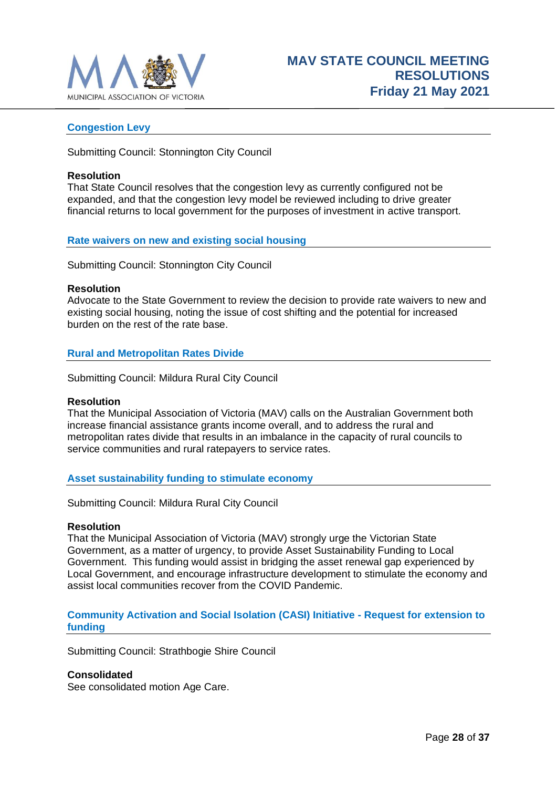

### <span id="page-27-0"></span>**Congestion Levy**

Submitting Council: Stonnington City Council

#### **Resolution**

That State Council resolves that the congestion levy as currently configured not be expanded, and that the congestion levy model be reviewed including to drive greater financial returns to local government for the purposes of investment in active transport.

#### <span id="page-27-1"></span>**Rate waivers on new and existing social housing**

Submitting Council: Stonnington City Council

#### **Resolution**

Advocate to the State Government to review the decision to provide rate waivers to new and existing social housing, noting the issue of cost shifting and the potential for increased burden on the rest of the rate base.

#### <span id="page-27-2"></span>**Rural and Metropolitan Rates Divide**

Submitting Council: Mildura Rural City Council

#### **Resolution**

That the Municipal Association of Victoria (MAV) calls on the Australian Government both increase financial assistance grants income overall, and to address the rural and metropolitan rates divide that results in an imbalance in the capacity of rural councils to service communities and rural ratepayers to service rates.

#### <span id="page-27-3"></span>**Asset sustainability funding to stimulate economy**

Submitting Council: Mildura Rural City Council

#### **Resolution**

That the Municipal Association of Victoria (MAV) strongly urge the Victorian State Government, as a matter of urgency, to provide Asset Sustainability Funding to Local Government. This funding would assist in bridging the asset renewal gap experienced by Local Government, and encourage infrastructure development to stimulate the economy and assist local communities recover from the COVID Pandemic.

#### <span id="page-27-4"></span>**Community Activation and Social Isolation (CASI) Initiative - Request for extension to funding**

Submitting Council: Strathbogie Shire Council

#### **Consolidated**

See consolidated motion Age Care.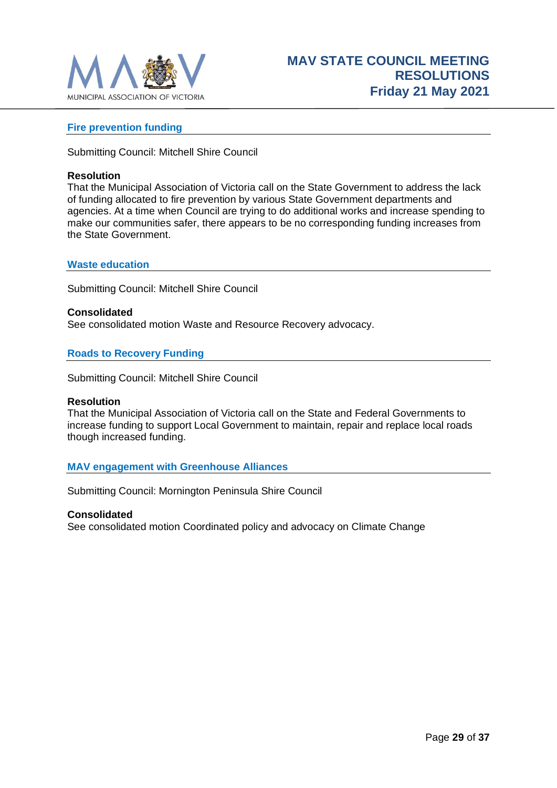

### <span id="page-28-0"></span>**Fire prevention funding**

Submitting Council: Mitchell Shire Council

#### **Resolution**

That the Municipal Association of Victoria call on the State Government to address the lack of funding allocated to fire prevention by various State Government departments and agencies. At a time when Council are trying to do additional works and increase spending to make our communities safer, there appears to be no corresponding funding increases from the State Government.

#### <span id="page-28-1"></span>**Waste education**

Submitting Council: Mitchell Shire Council

**Consolidated** See consolidated motion Waste and Resource Recovery advocacy.

#### <span id="page-28-2"></span>**Roads to Recovery Funding**

Submitting Council: Mitchell Shire Council

#### **Resolution**

That the Municipal Association of Victoria call on the State and Federal Governments to increase funding to support Local Government to maintain, repair and replace local roads though increased funding.

#### <span id="page-28-3"></span>**MAV engagement with Greenhouse Alliances**

Submitting Council: Mornington Peninsula Shire Council

#### **Consolidated**

See consolidated motion Coordinated policy and advocacy on Climate Change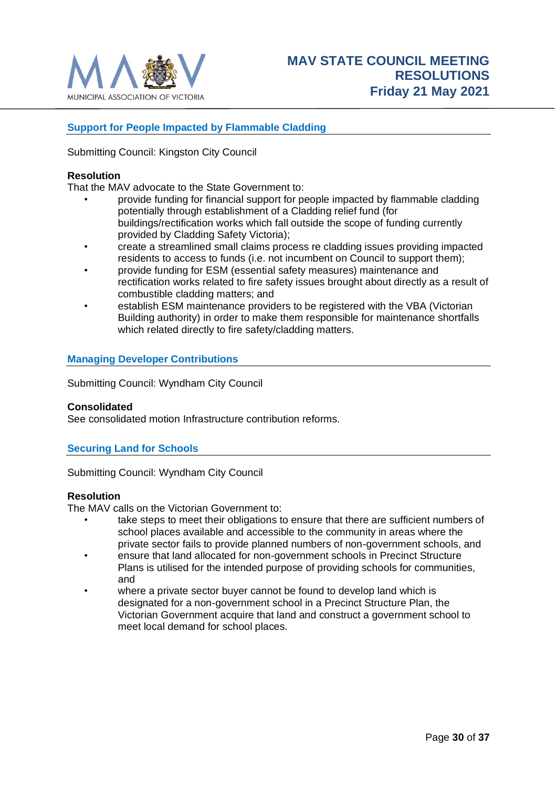

# <span id="page-29-0"></span>**Support for People Impacted by Flammable Cladding**

Submitting Council: Kingston City Council

#### **Resolution**

That the MAV advocate to the State Government to:

- provide funding for financial support for people impacted by flammable cladding potentially through establishment of a Cladding relief fund (for buildings/rectification works which fall outside the scope of funding currently provided by Cladding Safety Victoria);
- create a streamlined small claims process re cladding issues providing impacted residents to access to funds (i.e. not incumbent on Council to support them);
- provide funding for ESM (essential safety measures) maintenance and rectification works related to fire safety issues brought about directly as a result of combustible cladding matters; and
- establish ESM maintenance providers to be registered with the VBA (Victorian Building authority) in order to make them responsible for maintenance shortfalls which related directly to fire safety/cladding matters.

# <span id="page-29-1"></span>**Managing Developer Contributions**

Submitting Council: Wyndham City Council

#### **Consolidated**

See consolidated motion Infrastructure contribution reforms.

#### <span id="page-29-2"></span>**Securing Land for Schools**

Submitting Council: Wyndham City Council

#### **Resolution**

The MAV calls on the Victorian Government to:

- take steps to meet their obligations to ensure that there are sufficient numbers of school places available and accessible to the community in areas where the private sector fails to provide planned numbers of non-government schools, and
- ensure that land allocated for non-government schools in Precinct Structure Plans is utilised for the intended purpose of providing schools for communities, and
- where a private sector buyer cannot be found to develop land which is designated for a non-government school in a Precinct Structure Plan, the Victorian Government acquire that land and construct a government school to meet local demand for school places.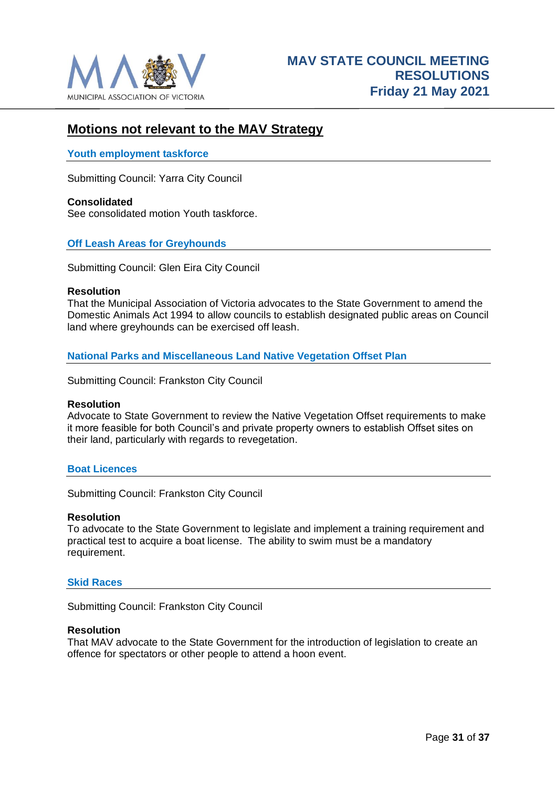

# <span id="page-30-0"></span>**Motions not relevant to the MAV Strategy**

#### <span id="page-30-1"></span>**Youth employment taskforce**

Submitting Council: Yarra City Council

**Consolidated** See consolidated motion Youth taskforce.

# <span id="page-30-2"></span>**Off Leash Areas for Greyhounds**

Submitting Council: Glen Eira City Council

#### **Resolution**

That the Municipal Association of Victoria advocates to the State Government to amend the Domestic Animals Act 1994 to allow councils to establish designated public areas on Council land where greyhounds can be exercised off leash.

<span id="page-30-3"></span>**National Parks and Miscellaneous Land Native Vegetation Offset Plan**

Submitting Council: Frankston City Council

#### **Resolution**

Advocate to State Government to review the Native Vegetation Offset requirements to make it more feasible for both Council's and private property owners to establish Offset sites on their land, particularly with regards to revegetation.

#### <span id="page-30-4"></span>**Boat Licences**

Submitting Council: Frankston City Council

#### **Resolution**

To advocate to the State Government to legislate and implement a training requirement and practical test to acquire a boat license. The ability to swim must be a mandatory requirement.

#### <span id="page-30-5"></span>**Skid Races**

Submitting Council: Frankston City Council

#### **Resolution**

That MAV advocate to the State Government for the introduction of legislation to create an offence for spectators or other people to attend a hoon event.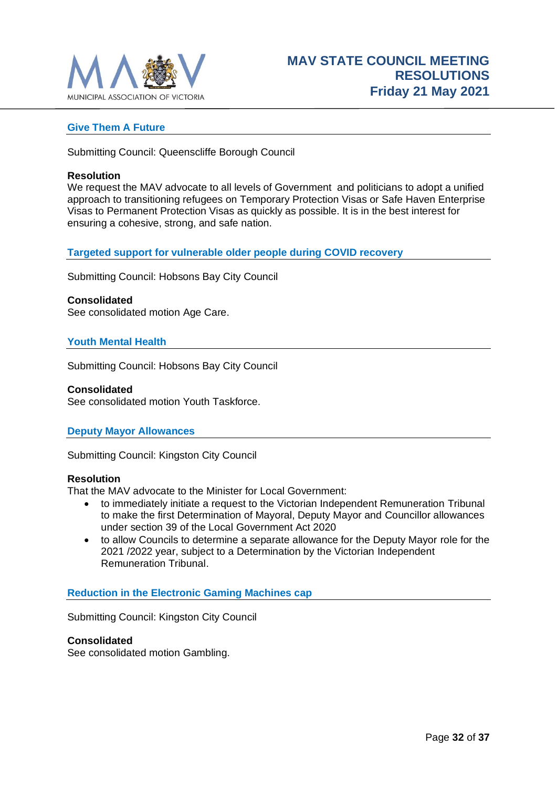

### <span id="page-31-0"></span>**Give Them A Future**

Submitting Council: Queenscliffe Borough Council

#### **Resolution**

We request the MAV advocate to all levels of Government and politicians to adopt a unified approach to transitioning refugees on Temporary Protection Visas or Safe Haven Enterprise Visas to Permanent Protection Visas as quickly as possible. It is in the best interest for ensuring a cohesive, strong, and safe nation.

<span id="page-31-1"></span>**Targeted support for vulnerable older people during COVID recovery**

Submitting Council: Hobsons Bay City Council

#### **Consolidated**

See consolidated motion Age Care.

#### <span id="page-31-2"></span>**Youth Mental Health**

Submitting Council: Hobsons Bay City Council

#### **Consolidated**

See consolidated motion Youth Taskforce.

#### <span id="page-31-3"></span>**Deputy Mayor Allowances**

Submitting Council: Kingston City Council

#### **Resolution**

That the MAV advocate to the Minister for Local Government:

- to immediately initiate a request to the Victorian Independent Remuneration Tribunal to make the first Determination of Mayoral, Deputy Mayor and Councillor allowances under section 39 of the Local Government Act 2020
- to allow Councils to determine a separate allowance for the Deputy Mayor role for the 2021 /2022 year, subject to a Determination by the Victorian Independent Remuneration Tribunal.

#### <span id="page-31-4"></span>**Reduction in the Electronic Gaming Machines cap**

Submitting Council: Kingston City Council

#### **Consolidated**

See consolidated motion Gambling.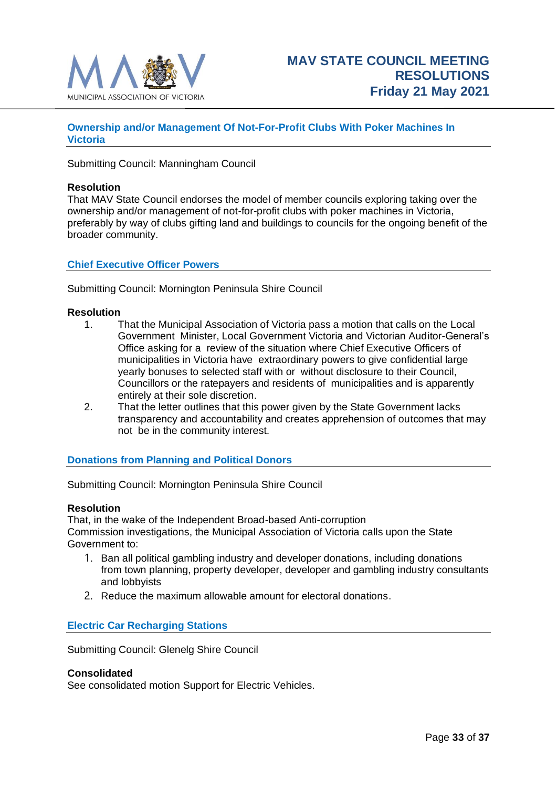

# <span id="page-32-0"></span>**Ownership and/or Management Of Not-For-Profit Clubs With Poker Machines In Victoria**

Submitting Council: Manningham Council

#### **Resolution**

That MAV State Council endorses the model of member councils exploring taking over the ownership and/or management of not-for-profit clubs with poker machines in Victoria, preferably by way of clubs gifting land and buildings to councils for the ongoing benefit of the broader community.

#### <span id="page-32-1"></span>**Chief Executive Officer Powers**

Submitting Council: Mornington Peninsula Shire Council

#### **Resolution**

- 1. That the Municipal Association of Victoria pass a motion that calls on the Local Government Minister, Local Government Victoria and Victorian Auditor-General's Office asking for a review of the situation where Chief Executive Officers of municipalities in Victoria have extraordinary powers to give confidential large yearly bonuses to selected staff with or without disclosure to their Council, Councillors or the ratepayers and residents of municipalities and is apparently entirely at their sole discretion.
- 2. That the letter outlines that this power given by the State Government lacks transparency and accountability and creates apprehension of outcomes that may not be in the community interest.

#### <span id="page-32-2"></span>**Donations from Planning and Political Donors**

Submitting Council: Mornington Peninsula Shire Council

#### **Resolution**

That, in the wake of the Independent Broad-based Anti-corruption Commission investigations, the Municipal Association of Victoria calls upon the State Government to:

- 1. Ban all political gambling industry and developer donations, including donations from town planning, property developer, developer and gambling industry consultants and lobbyists
- 2. Reduce the maximum allowable amount for electoral donations.

# <span id="page-32-3"></span>**Electric Car Recharging Stations**

Submitting Council: Glenelg Shire Council

#### **Consolidated**

See consolidated motion Support for Electric Vehicles.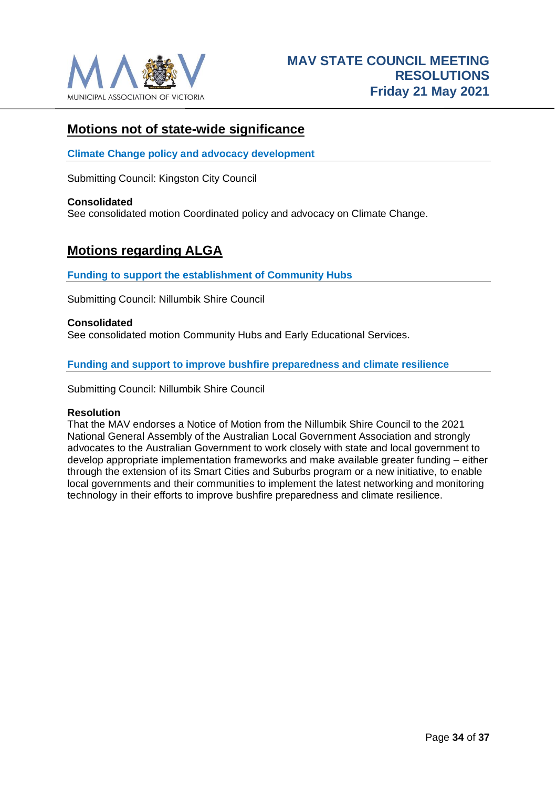

# <span id="page-33-0"></span>**Motions not of state-wide significance**

<span id="page-33-1"></span>**Climate Change policy and advocacy development**

Submitting Council: Kingston City Council

#### **Consolidated**

See consolidated motion Coordinated policy and advocacy on Climate Change.

# <span id="page-33-2"></span>**Motions regarding ALGA**

<span id="page-33-3"></span>**Funding to support the establishment of Community Hubs**

Submitting Council: Nillumbik Shire Council

#### **Consolidated**

See consolidated motion Community Hubs and Early Educational Services.

<span id="page-33-4"></span>**Funding and support to improve bushfire preparedness and climate resilience**

Submitting Council: Nillumbik Shire Council

#### **Resolution**

That the MAV endorses a Notice of Motion from the Nillumbik Shire Council to the 2021 National General Assembly of the Australian Local Government Association and strongly advocates to the Australian Government to work closely with state and local government to develop appropriate implementation frameworks and make available greater funding – either through the extension of its Smart Cities and Suburbs program or a new initiative, to enable local governments and their communities to implement the latest networking and monitoring technology in their efforts to improve bushfire preparedness and climate resilience.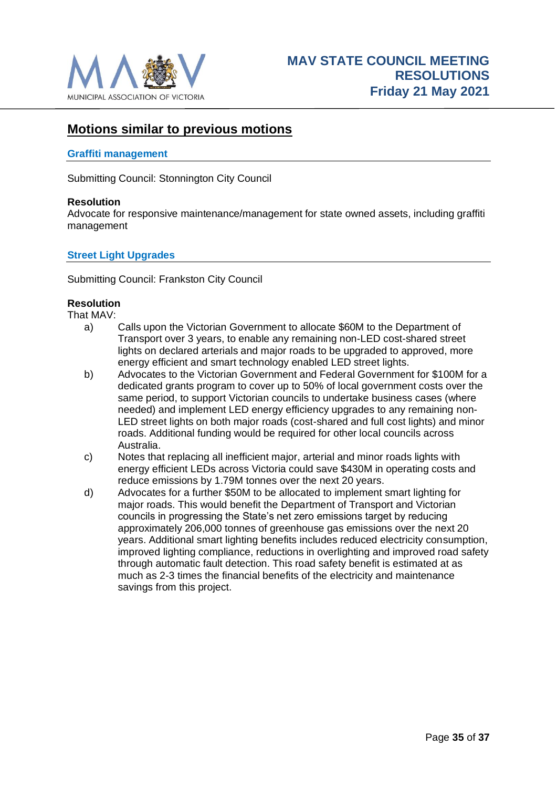

# <span id="page-34-0"></span>**Motions similar to previous motions**

### <span id="page-34-1"></span>**Graffiti management**

Submitting Council: Stonnington City Council

#### **Resolution**

Advocate for responsive maintenance/management for state owned assets, including graffiti management

# <span id="page-34-2"></span>**Street Light Upgrades**

Submitting Council: Frankston City Council

# **Resolution**

That MAV:

- a) Calls upon the Victorian Government to allocate \$60M to the Department of Transport over 3 years, to enable any remaining non-LED cost-shared street lights on declared arterials and major roads to be upgraded to approved, more energy efficient and smart technology enabled LED street lights.
- b) Advocates to the Victorian Government and Federal Government for \$100M for a dedicated grants program to cover up to 50% of local government costs over the same period, to support Victorian councils to undertake business cases (where needed) and implement LED energy efficiency upgrades to any remaining non-LED street lights on both major roads (cost-shared and full cost lights) and minor roads. Additional funding would be required for other local councils across Australia.
- c) Notes that replacing all inefficient major, arterial and minor roads lights with energy efficient LEDs across Victoria could save \$430M in operating costs and reduce emissions by 1.79M tonnes over the next 20 years.
- d) Advocates for a further \$50M to be allocated to implement smart lighting for major roads. This would benefit the Department of Transport and Victorian councils in progressing the State's net zero emissions target by reducing approximately 206,000 tonnes of greenhouse gas emissions over the next 20 years. Additional smart lighting benefits includes reduced electricity consumption, improved lighting compliance, reductions in overlighting and improved road safety through automatic fault detection. This road safety benefit is estimated at as much as 2-3 times the financial benefits of the electricity and maintenance savings from this project.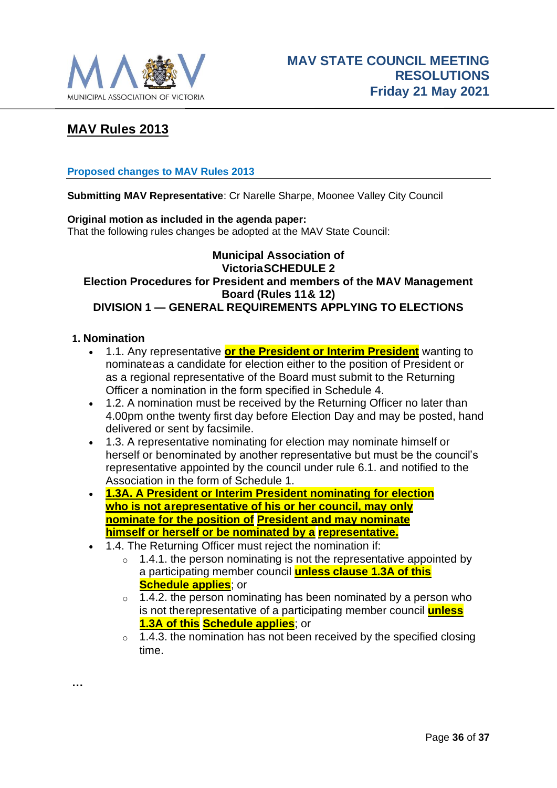

# <span id="page-35-0"></span>**MAV Rules 2013**

# <span id="page-35-1"></span>**Proposed changes to MAV Rules 2013**

**Submitting MAV Representative**: Cr Narelle Sharpe, Moonee Valley City Council

# **Original motion as included in the agenda paper:**

That the following rules changes be adopted at the MAV State Council:

# **Municipal Association of VictoriaSCHEDULE 2 Election Procedures for President and members of the MAV Management Board (Rules 11& 12) DIVISION 1 — GENERAL REQUIREMENTS APPLYING TO ELECTIONS**

# **1. Nomination**

**…**

- 1.1. Any representative **or the President or Interim President** wanting to nominateas a candidate for election either to the position of President or as a regional representative of the Board must submit to the Returning Officer a nomination in the form specified in Schedule 4.
- 1.2. A nomination must be received by the Returning Officer no later than 4.00pm onthe twenty first day before Election Day and may be posted, hand delivered or sent by facsimile.
- 1.3. A representative nominating for election may nominate himself or herself or benominated by another representative but must be the council's representative appointed by the council under rule 6.1. and notified to the Association in the form of Schedule 1.
- **1.3A. A President or Interim President nominating for election who is not arepresentative of his or her council, may only nominate for the position of President and may nominate himself or herself or be nominated by a representative.**
- 1.4. The Returning Officer must reject the nomination if:
	- $\circ$  1.4.1. the person nominating is not the representative appointed by a participating member council **unless clause 1.3A of this Schedule applies**; or
	- $\circ$  1.4.2. the person nominating has been nominated by a person who is not therepresentative of a participating member council **unless 1.3A of this Schedule applies**; or
	- $\circ$  1.4.3. the nomination has not been received by the specified closing time.